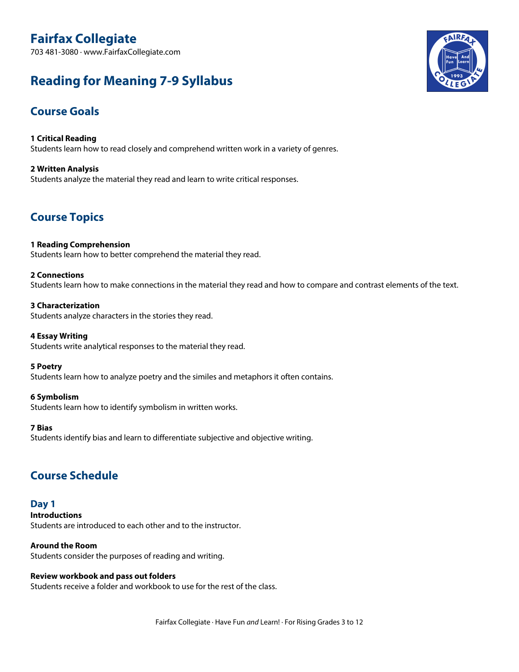# **Fairfax Collegiate**

703 481-3080 · www.FairfaxCollegiate.com

# **Reading for Meaning 7-9 Syllabus**

## **Course Goals**

**1 Critical Reading** Students learn how to read closely and comprehend written work in a variety of genres.

**2 Written Analysis** Students analyze the material they read and learn to write critical responses.

## **Course Topics**

**1 Reading Comprehension** Students learn how to better comprehend the material they read.

## **2 Connections**

Students learn how to make connections in the material they read and how to compare and contrast elements of the text.

## **3 Characterization**

Students analyze characters in the stories they read.

## **4 Essay Writing**

Students write analytical responses to the material they read.

## **5 Poetry**

Students learn how to analyze poetry and the similes and metaphors it often contains.

## **6 Symbolism**

Students learn how to identify symbolism in written works.

## **7 Bias**

Students identify bias and learn to differentiate subjective and objective writing.

## **Course Schedule**

**Day 1 Introductions** Students are introduced to each other and to the instructor.

**Around the Room**

Students consider the purposes of reading and writing.

## **Review workbook and pass out folders**

Students receive a folder and workbook to use for the rest of the class.

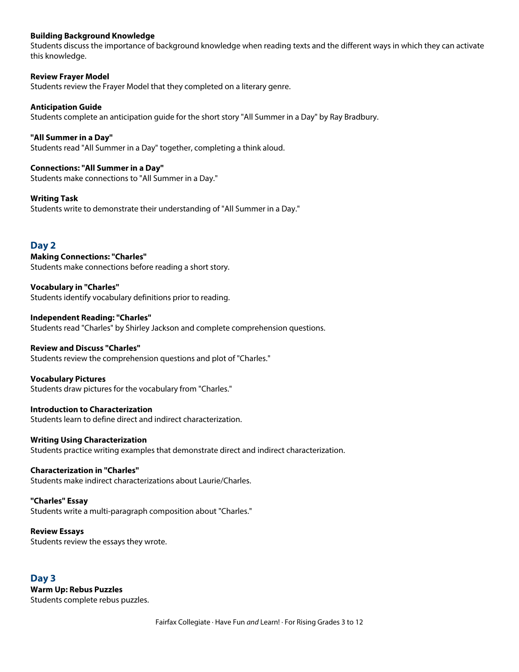## **Building Background Knowledge**

Students discuss the importance of background knowledge when reading texts and the different ways in which they can activate this knowledge.

**Review Frayer Model** Students review the Frayer Model that they completed on a literary genre.

**Anticipation Guide** Students complete an anticipation guide for the short story "All Summer in a Day" by Ray Bradbury.

**"All Summer in a Day"** Students read "All Summer in a Day" together, completing a think aloud.

**Connections: "All Summer in a Day"** Students make connections to "All Summer in a Day."

**Writing Task** Students write to demonstrate their understanding of "All Summer in a Day."

## **Day 2**

**Making Connections: "Charles"** Students make connections before reading a short story.

**Vocabulary in "Charles"** Students identify vocabulary definitions prior to reading.

**Independent Reading: "Charles"** Students read "Charles" by Shirley Jackson and complete comprehension questions.

## **Review and Discuss "Charles"**

Students review the comprehension questions and plot of "Charles."

**Vocabulary Pictures**

Students draw pictures for the vocabulary from "Charles."

**Introduction to Characterization** Students learn to define direct and indirect characterization.

### **Writing Using Characterization**

Students practice writing examples that demonstrate direct and indirect characterization.

#### **Characterization in "Charles"**

Students make indirect characterizations about Laurie/Charles.

#### **"Charles" Essay**

Students write a multi-paragraph composition about "Charles."

## **Review Essays**

Students review the essays they wrote.

**Day 3 Warm Up: Rebus Puzzles** Students complete rebus puzzles.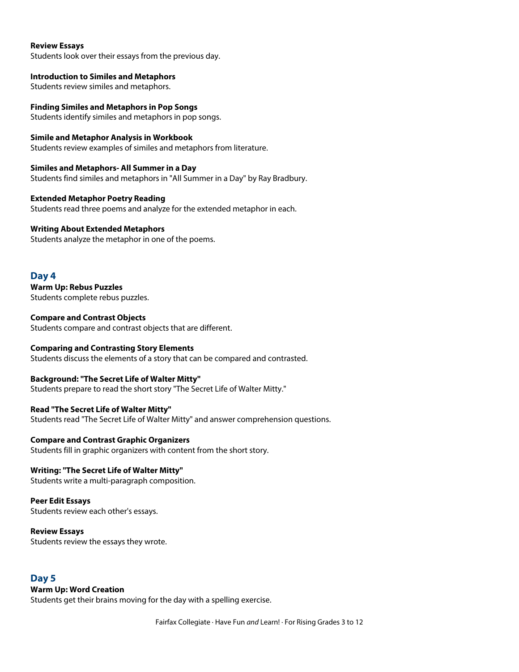#### **Review Essays**

Students look over their essays from the previous day.

**Introduction to Similes and Metaphors** Students review similes and metaphors.

**Finding Similes and Metaphors in Pop Songs** Students identify similes and metaphors in pop songs.

**Simile and Metaphor Analysis in Workbook** Students review examples of similes and metaphors from literature.

**Similes and Metaphors- All Summer in a Day** Students find similes and metaphors in "All Summer in a Day" by Ray Bradbury.

**Extended Metaphor Poetry Reading** Students read three poems and analyze for the extended metaphor in each.

## **Writing About Extended Metaphors**

Students analyze the metaphor in one of the poems.

**Day 4 Warm Up: Rebus Puzzles** Students complete rebus puzzles.

**Compare and Contrast Objects** Students compare and contrast objects that are different.

**Comparing and Contrasting Story Elements** Students discuss the elements of a story that can be compared and contrasted.

**Background: "The Secret Life of Walter Mitty"** Students prepare to read the short story "The Secret Life of Walter Mitty."

**Read "The Secret Life of Walter Mitty"** Students read "The Secret Life of Walter Mitty" and answer comprehension questions.

**Compare and Contrast Graphic Organizers** Students fill in graphic organizers with content from the short story.

## **Writing: "The Secret Life of Walter Mitty"**

Students write a multi-paragraph composition.

**Peer Edit Essays**

Students review each other's essays.

## **Review Essays**

Students review the essays they wrote.

## **Day 5**

## **Warm Up: Word Creation**

Students get their brains moving for the day with a spelling exercise.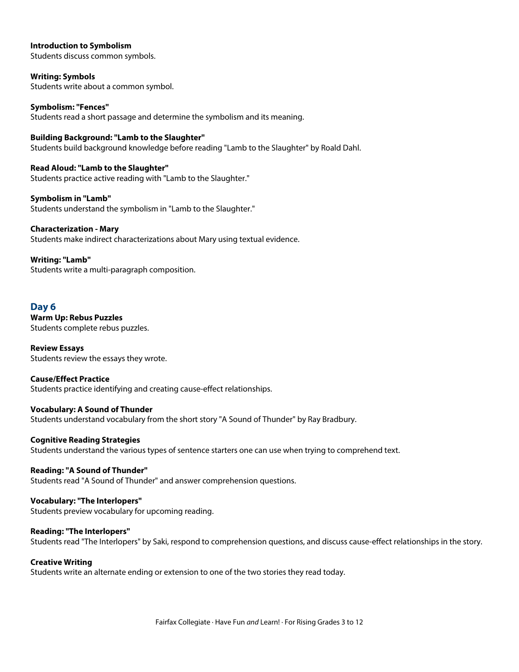## **Introduction to Symbolism**

Students discuss common symbols.

**Writing: Symbols** Students write about a common symbol.

**Symbolism: "Fences"** Students read a short passage and determine the symbolism and its meaning.

**Building Background: "Lamb to the Slaughter"** Students build background knowledge before reading "Lamb to the Slaughter" by Roald Dahl.

**Read Aloud: "Lamb to the Slaughter"** Students practice active reading with "Lamb to the Slaughter."

**Symbolism in "Lamb"** Students understand the symbolism in "Lamb to the Slaughter."

**Characterization - Mary** Students make indirect characterizations about Mary using textual evidence.

**Writing: "Lamb"** Students write a multi-paragraph composition.

## **Day 6**

**Warm Up: Rebus Puzzles** Students complete rebus puzzles.

**Review Essays** Students review the essays they wrote.

**Cause/Effect Practice** Students practice identifying and creating cause-effect relationships.

**Vocabulary: A Sound of Thunder** Students understand vocabulary from the short story "A Sound of Thunder" by Ray Bradbury.

**Cognitive Reading Strategies** Students understand the various types of sentence starters one can use when trying to comprehend text.

**Reading: "A Sound of Thunder"** Students read "A Sound of Thunder" and answer comprehension questions.

**Vocabulary: "The Interlopers"** Students preview vocabulary for upcoming reading.

**Reading: "The Interlopers"** Students read "The Interlopers" by Saki, respond to comprehension questions, and discuss cause-effect relationships in the story.

## **Creative Writing**

Students write an alternate ending or extension to one of the two stories they read today.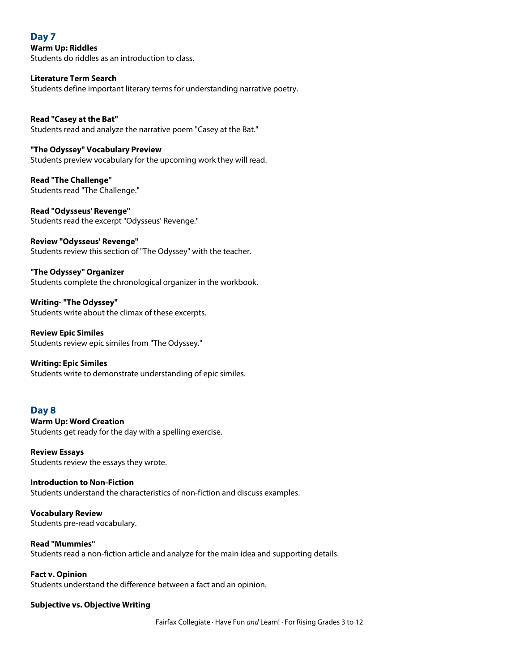## **Day 7**

**Warm Up: Riddles** Students do riddles as an introduction to class.

## **Literature Term Search**

Students define important literary terms for understanding narrative poetry.

#### **Read "Casey at the Bat"** Students read and analyze the narrative poem "Casey at the Bat."

## **"The Odyssey" Vocabulary Preview**

Students preview vocabulary for the upcoming work they will read.

**Read "The Challenge"** Students read "The Challenge."

**Read "Odysseus' Revenge"** Students read the excerpt "Odysseus' Revenge."

## **Review "Odysseus' Revenge"**

Students review this section of "The Odyssey" with the teacher.

**"The Odyssey" Organizer** Students complete the chronological organizer in the workbook.

**Writing- "The Odyssey"** Students write about the climax of these excerpts.

**Review Epic Similes** Students review epic similes from "The Odyssey."

## **Writing: Epic Similes**

Students write to demonstrate understanding of epic similes.

## **Day 8**

## **Warm Up: Word Creation** Students get ready for the day with a spelling exercise.

**Review Essays** Students review the essays they wrote.

## **Introduction to Non-Fiction** Students understand the characteristics of non-fiction and discuss examples.

**Vocabulary Review** Students pre-read vocabulary.

## **Read "Mummies"**

Students read a non-fiction article and analyze for the main idea and supporting details.

## **Fact v. Opinion**

Students understand the difference between a fact and an opinion.

## **Subjective vs. Objective Writing**

Fairfax Collegiate · Have Fun *and* Learn! · For Rising Grades 3 to 12